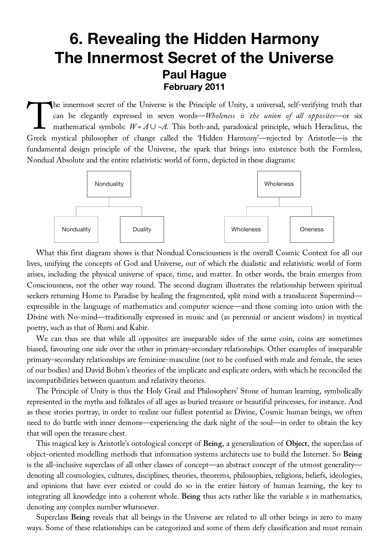## **6. Revealing the Hidden Harmony The Innermost Secret of the Universe Paul Hague February 2011**

he innermost secret of the Universe is the Principle of Unity, a universal, self-verifying truth that can be elegantly expressed in seven words—*Wholeness is the union of all opposites*—or six mathematical symbols:  $W = A \cup \sim A$ . This both-and, paradoxical principle, which Heraclitus, the The innermost secret of the Universe is the Principle of Unity, a universal, self-verifying truth that<br>
can be elegantly expressed in seven words—*Wholeness is the union of all opposites*—or six<br>
mathematical symbols:  $W =$ fundamental design principle of the Universe, the spark that brings into existence both the Formless, Nondual Absolute and the entire relativistic world of form, depicted in these diagrams:



What this first diagram shows is that Nondual Consciousness is the overall Cosmic Context for all our lives, unifying the concepts of God and Universe, out of which the dualistic and relativistic world of form arises, including the physical universe of space, time, and matter. In other words, the brain emerges from Consciousness, not the other way round. The second diagram illustrates the relationship between spiritual seekers returning Home to Paradise by healing the fragmented, split mind with a translucent Supermind expressible in the language of mathematics and computer science—and those coming into union with the Divine with No-mind—traditionally expressed in music and (as perennial or ancient wisdom) in mystical poetry, such as that of Rumi and Kabir.

We can thus see that while all opposites are inseparable sides of the same coin, coins are sometimes biased, favouring one side over the other in primary-secondary relationships. Other examples of inseparable primary-secondary relationships are feminine-masculine (not to be confused with male and female, the sexes of our bodies) and David Bohm's theories of the implicate and explicate orders, with which he reconciled the incompatibilities between quantum and relativity theories.

The Principle of Unity is thus the Holy Grail and Philosophers' Stone of human learning, symbolically represented in the myths and folktales of all ages as buried treasure or beautiful princesses, for instance. And as these stories portray, in order to realize our fullest potential as Divine, Cosmic human beings, we often need to do battle with inner demons—experiencing the dark night of the soul—in order to obtain the key that will open the treasure chest.

This magical key is Aristotle's ontological concept of **Being**, a generalization of **Object**, the superclass of object-oriented modelling methods that information systems architects use to build the Internet. So **Being** is the all-inclusive superclass of all other classes of concept—an abstract concept of the utmost generality denoting all cosmologies, cultures, disciplines, theories, theorems, philosophies, religions, beliefs, ideologies, and opinions that have ever existed or could do so in the entire history of human learning, the key to integrating all knowledge into a coherent whole. **Being** thus acts rather like the variable *x* in mathematics, denoting any complex number whatsoever.

Superclass **Being** reveals that all beings in the Universe are related to all other beings in zero to many ways. Some of these relationships can be categorized and some of them defy classification and must remain